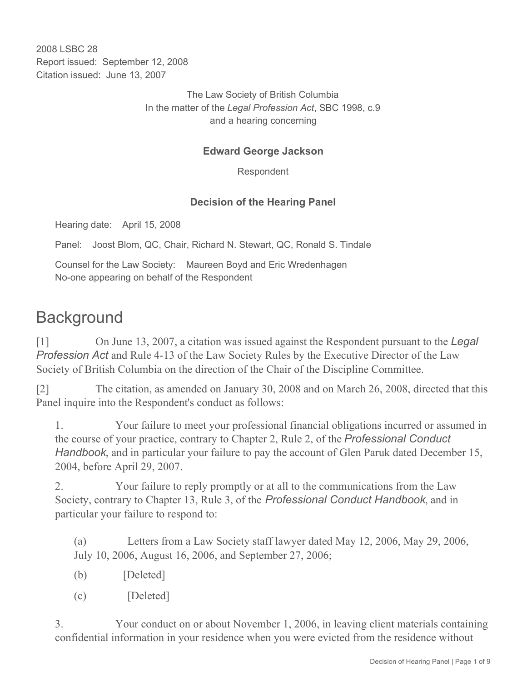2008 LSBC 28 Report issued: September 12, 2008 Citation issued: June 13, 2007

> The Law Society of British Columbia In the matter of the *Legal Profession Act*, SBC 1998, c.9 and a hearing concerning

#### **Edward George Jackson**

Respondent

#### **Decision of the Hearing Panel**

Hearing date: April 15, 2008

Panel: Joost Blom, QC, Chair, Richard N. Stewart, QC, Ronald S. Tindale

Counsel for the Law Society: Maureen Boyd and Eric Wredenhagen No-one appearing on behalf of the Respondent

# **Background**

[1] On June 13, 2007, a citation was issued against the Respondent pursuant to the *Legal Profession Act* and Rule 4-13 of the Law Society Rules by the Executive Director of the Law Society of British Columbia on the direction of the Chair of the Discipline Committee.

[2] The citation, as amended on January 30, 2008 and on March 26, 2008, directed that this Panel inquire into the Respondent's conduct as follows:

1. Your failure to meet your professional financial obligations incurred or assumed in the course of your practice, contrary to Chapter 2, Rule 2, of the *Professional Conduct Handbook*, and in particular your failure to pay the account of Glen Paruk dated December 15, 2004, before April 29, 2007.

2. Your failure to reply promptly or at all to the communications from the Law Society, contrary to Chapter 13, Rule 3, of the *Professional Conduct Handbook*, and in particular your failure to respond to:

(a) Letters from a Law Society staff lawyer dated May 12, 2006, May 29, 2006, July 10, 2006, August 16, 2006, and September 27, 2006;

- $(b)$  [Deleted]
- $(c)$  [Deleted]

3. Your conduct on or about November 1, 2006, in leaving client materials containing confidential information in your residence when you were evicted from the residence without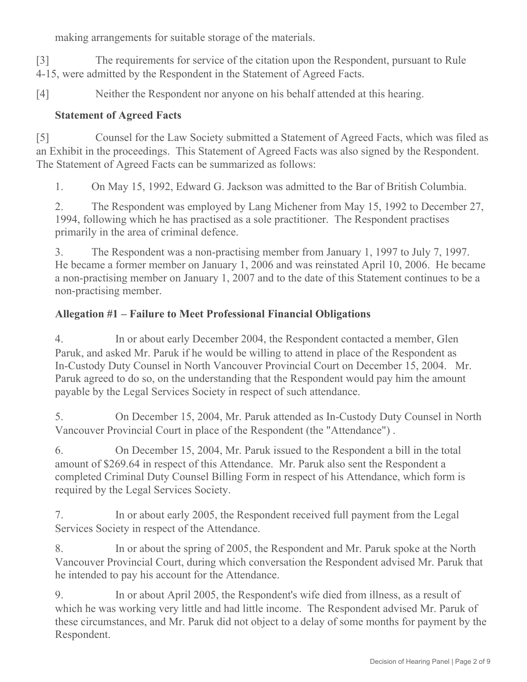making arrangements for suitable storage of the materials.

[3] The requirements for service of the citation upon the Respondent, pursuant to Rule 4-15, were admitted by the Respondent in the Statement of Agreed Facts.

[4] Neither the Respondent nor anyone on his behalf attended at this hearing.

#### **Statement of Agreed Facts**

[5] Counsel for the Law Society submitted a Statement of Agreed Facts, which was filed as an Exhibit in the proceedings. This Statement of Agreed Facts was also signed by the Respondent. The Statement of Agreed Facts can be summarized as follows:

1. On May 15, 1992, Edward G. Jackson was admitted to the Bar of British Columbia.

2. The Respondent was employed by Lang Michener from May 15, 1992 to December 27, 1994, following which he has practised as a sole practitioner. The Respondent practises primarily in the area of criminal defence.

3. The Respondent was a non-practising member from January 1, 1997 to July 7, 1997. He became a former member on January 1, 2006 and was reinstated April 10, 2006. He became a non-practising member on January 1, 2007 and to the date of this Statement continues to be a non-practising member.

#### **Allegation #1 – Failure to Meet Professional Financial Obligations**

4. In or about early December 2004, the Respondent contacted a member, Glen Paruk, and asked Mr. Paruk if he would be willing to attend in place of the Respondent as In-Custody Duty Counsel in North Vancouver Provincial Court on December 15, 2004. Mr. Paruk agreed to do so, on the understanding that the Respondent would pay him the amount payable by the Legal Services Society in respect of such attendance.

5. On December 15, 2004, Mr. Paruk attended as In-Custody Duty Counsel in North Vancouver Provincial Court in place of the Respondent (the "Attendance") .

6. On December 15, 2004, Mr. Paruk issued to the Respondent a bill in the total amount of \$269.64 in respect of this Attendance. Mr. Paruk also sent the Respondent a completed Criminal Duty Counsel Billing Form in respect of his Attendance, which form is required by the Legal Services Society.

7. In or about early 2005, the Respondent received full payment from the Legal Services Society in respect of the Attendance.

8. In or about the spring of 2005, the Respondent and Mr. Paruk spoke at the North Vancouver Provincial Court, during which conversation the Respondent advised Mr. Paruk that he intended to pay his account for the Attendance.

9. In or about April 2005, the Respondent's wife died from illness, as a result of which he was working very little and had little income. The Respondent advised Mr. Paruk of these circumstances, and Mr. Paruk did not object to a delay of some months for payment by the Respondent.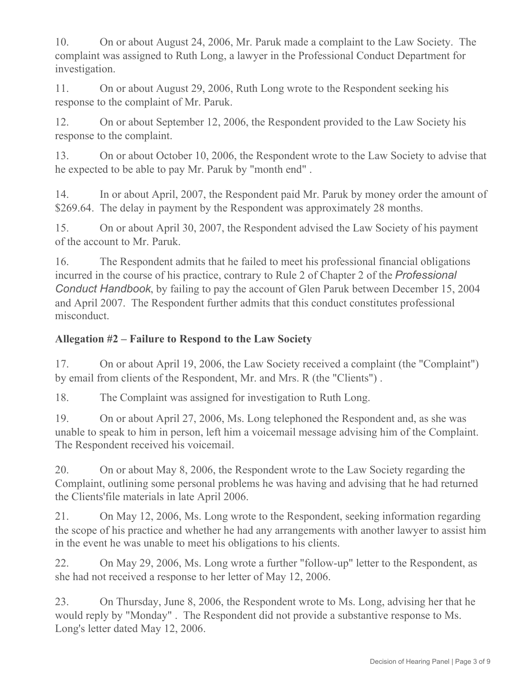10. On or about August 24, 2006, Mr. Paruk made a complaint to the Law Society. The complaint was assigned to Ruth Long, a lawyer in the Professional Conduct Department for investigation.

11. On or about August 29, 2006, Ruth Long wrote to the Respondent seeking his response to the complaint of Mr. Paruk.

12. On or about September 12, 2006, the Respondent provided to the Law Society his response to the complaint.

13. On or about October 10, 2006, the Respondent wrote to the Law Society to advise that he expected to be able to pay Mr. Paruk by "month end" .

14. In or about April, 2007, the Respondent paid Mr. Paruk by money order the amount of \$269.64. The delay in payment by the Respondent was approximately 28 months.

15. On or about April 30, 2007, the Respondent advised the Law Society of his payment of the account to Mr. Paruk.

16. The Respondent admits that he failed to meet his professional financial obligations incurred in the course of his practice, contrary to Rule 2 of Chapter 2 of the *Professional Conduct Handbook*, by failing to pay the account of Glen Paruk between December 15, 2004 and April 2007. The Respondent further admits that this conduct constitutes professional misconduct.

## **Allegation #2 – Failure to Respond to the Law Society**

17. On or about April 19, 2006, the Law Society received a complaint (the "Complaint") by email from clients of the Respondent, Mr. and Mrs. R (the "Clients") .

18. The Complaint was assigned for investigation to Ruth Long.

19. On or about April 27, 2006, Ms. Long telephoned the Respondent and, as she was unable to speak to him in person, left him a voicemail message advising him of the Complaint. The Respondent received his voicemail.

20. On or about May 8, 2006, the Respondent wrote to the Law Society regarding the Complaint, outlining some personal problems he was having and advising that he had returned the Clients'file materials in late April 2006.

21. On May 12, 2006, Ms. Long wrote to the Respondent, seeking information regarding the scope of his practice and whether he had any arrangements with another lawyer to assist him in the event he was unable to meet his obligations to his clients.

22. On May 29, 2006, Ms. Long wrote a further "follow-up" letter to the Respondent, as she had not received a response to her letter of May 12, 2006.

23. On Thursday, June 8, 2006, the Respondent wrote to Ms. Long, advising her that he would reply by "Monday" . The Respondent did not provide a substantive response to Ms. Long's letter dated May 12, 2006.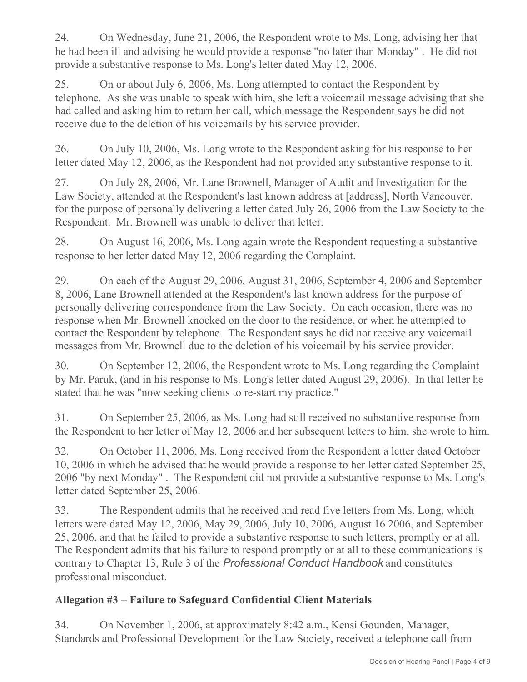24. On Wednesday, June 21, 2006, the Respondent wrote to Ms. Long, advising her that he had been ill and advising he would provide a response "no later than Monday" . He did not provide a substantive response to Ms. Long's letter dated May 12, 2006.

25. On or about July 6, 2006, Ms. Long attempted to contact the Respondent by telephone. As she was unable to speak with him, she left a voicemail message advising that she had called and asking him to return her call, which message the Respondent says he did not receive due to the deletion of his voicemails by his service provider.

26. On July 10, 2006, Ms. Long wrote to the Respondent asking for his response to her letter dated May 12, 2006, as the Respondent had not provided any substantive response to it.

27. On July 28, 2006, Mr. Lane Brownell, Manager of Audit and Investigation for the Law Society, attended at the Respondent's last known address at [address], North Vancouver, for the purpose of personally delivering a letter dated July 26, 2006 from the Law Society to the Respondent. Mr. Brownell was unable to deliver that letter.

28. On August 16, 2006, Ms. Long again wrote the Respondent requesting a substantive response to her letter dated May 12, 2006 regarding the Complaint.

29. On each of the August 29, 2006, August 31, 2006, September 4, 2006 and September 8, 2006, Lane Brownell attended at the Respondent's last known address for the purpose of personally delivering correspondence from the Law Society. On each occasion, there was no response when Mr. Brownell knocked on the door to the residence, or when he attempted to contact the Respondent by telephone. The Respondent says he did not receive any voicemail messages from Mr. Brownell due to the deletion of his voicemail by his service provider.

30. On September 12, 2006, the Respondent wrote to Ms. Long regarding the Complaint by Mr. Paruk, (and in his response to Ms. Long's letter dated August 29, 2006). In that letter he stated that he was "now seeking clients to re-start my practice."

31. On September 25, 2006, as Ms. Long had still received no substantive response from the Respondent to her letter of May 12, 2006 and her subsequent letters to him, she wrote to him.

32. On October 11, 2006, Ms. Long received from the Respondent a letter dated October 10, 2006 in which he advised that he would provide a response to her letter dated September 25, 2006 "by next Monday" . The Respondent did not provide a substantive response to Ms. Long's letter dated September 25, 2006.

33. The Respondent admits that he received and read five letters from Ms. Long, which letters were dated May 12, 2006, May 29, 2006, July 10, 2006, August 16 2006, and September 25, 2006, and that he failed to provide a substantive response to such letters, promptly or at all. The Respondent admits that his failure to respond promptly or at all to these communications is contrary to Chapter 13, Rule 3 of the *Professional Conduct Handbook* and constitutes professional misconduct.

### **Allegation #3 – Failure to Safeguard Confidential Client Materials**

34. On November 1, 2006, at approximately 8:42 a.m., Kensi Gounden, Manager, Standards and Professional Development for the Law Society, received a telephone call from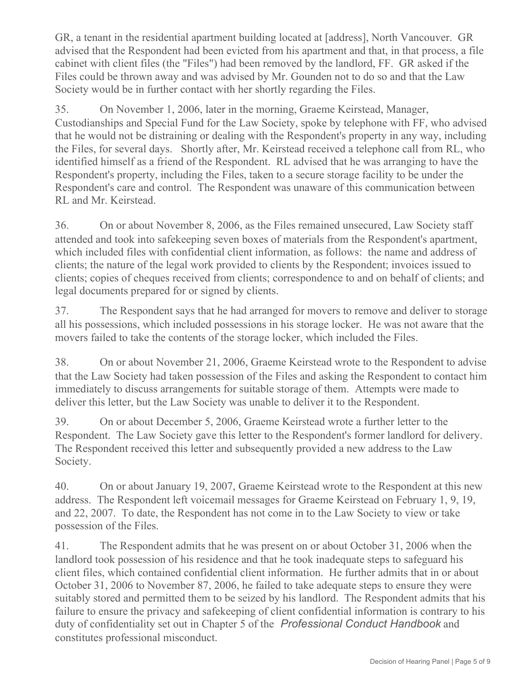GR, a tenant in the residential apartment building located at [address], North Vancouver. GR advised that the Respondent had been evicted from his apartment and that, in that process, a file cabinet with client files (the "Files") had been removed by the landlord, FF. GR asked if the Files could be thrown away and was advised by Mr. Gounden not to do so and that the Law Society would be in further contact with her shortly regarding the Files.

35. On November 1, 2006, later in the morning, Graeme Keirstead, Manager, Custodianships and Special Fund for the Law Society, spoke by telephone with FF, who advised that he would not be distraining or dealing with the Respondent's property in any way, including the Files, for several days. Shortly after, Mr. Keirstead received a telephone call from RL, who identified himself as a friend of the Respondent. RL advised that he was arranging to have the Respondent's property, including the Files, taken to a secure storage facility to be under the Respondent's care and control. The Respondent was unaware of this communication between RL and Mr. Keirstead.

36. On or about November 8, 2006, as the Files remained unsecured, Law Society staff attended and took into safekeeping seven boxes of materials from the Respondent's apartment, which included files with confidential client information, as follows: the name and address of clients; the nature of the legal work provided to clients by the Respondent; invoices issued to clients; copies of cheques received from clients; correspondence to and on behalf of clients; and legal documents prepared for or signed by clients.

37. The Respondent says that he had arranged for movers to remove and deliver to storage all his possessions, which included possessions in his storage locker. He was not aware that the movers failed to take the contents of the storage locker, which included the Files.

38. On or about November 21, 2006, Graeme Keirstead wrote to the Respondent to advise that the Law Society had taken possession of the Files and asking the Respondent to contact him immediately to discuss arrangements for suitable storage of them. Attempts were made to deliver this letter, but the Law Society was unable to deliver it to the Respondent.

39. On or about December 5, 2006, Graeme Keirstead wrote a further letter to the Respondent. The Law Society gave this letter to the Respondent's former landlord for delivery. The Respondent received this letter and subsequently provided a new address to the Law Society.

40. On or about January 19, 2007, Graeme Keirstead wrote to the Respondent at this new address. The Respondent left voicemail messages for Graeme Keirstead on February 1, 9, 19, and 22, 2007. To date, the Respondent has not come in to the Law Society to view or take possession of the Files.

41. The Respondent admits that he was present on or about October 31, 2006 when the landlord took possession of his residence and that he took inadequate steps to safeguard his client files, which contained confidential client information. He further admits that in or about October 31, 2006 to November 87, 2006, he failed to take adequate steps to ensure they were suitably stored and permitted them to be seized by his landlord. The Respondent admits that his failure to ensure the privacy and safekeeping of client confidential information is contrary to his duty of confidentiality set out in Chapter 5 of the *Professional Conduct Handbook* and constitutes professional misconduct.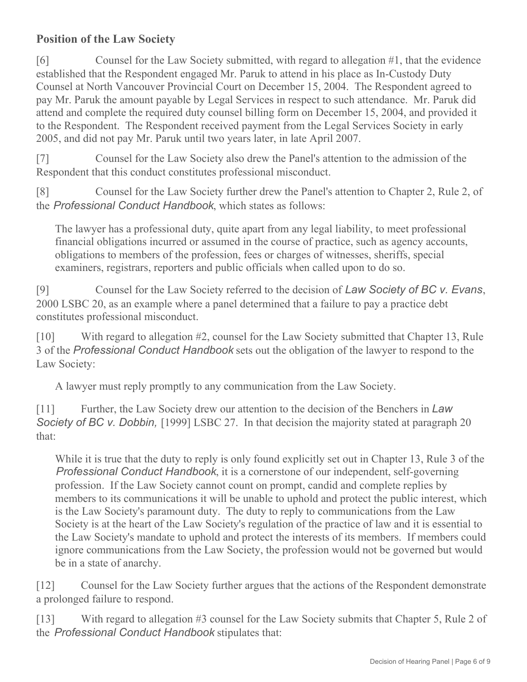## **Position of the Law Society**

[6] Counsel for the Law Society submitted, with regard to allegation #1, that the evidence established that the Respondent engaged Mr. Paruk to attend in his place as In-Custody Duty Counsel at North Vancouver Provincial Court on December 15, 2004. The Respondent agreed to pay Mr. Paruk the amount payable by Legal Services in respect to such attendance. Mr. Paruk did attend and complete the required duty counsel billing form on December 15, 2004, and provided it to the Respondent. The Respondent received payment from the Legal Services Society in early 2005, and did not pay Mr. Paruk until two years later, in late April 2007.

[7] Counsel for the Law Society also drew the Panel's attention to the admission of the Respondent that this conduct constitutes professional misconduct.

[8] Counsel for the Law Society further drew the Panel's attention to Chapter 2, Rule 2, of the *Professional Conduct Handbook*, which states as follows:

The lawyer has a professional duty, quite apart from any legal liability, to meet professional financial obligations incurred or assumed in the course of practice, such as agency accounts, obligations to members of the profession, fees or charges of witnesses, sheriffs, special examiners, registrars, reporters and public officials when called upon to do so.

[9] Counsel for the Law Society referred to the decision of *Law Society of BC v. Evans*, 2000 LSBC 20, as an example where a panel determined that a failure to pay a practice debt constitutes professional misconduct.

[10] With regard to allegation #2, counsel for the Law Society submitted that Chapter 13, Rule 3 of the *Professional Conduct Handbook* sets out the obligation of the lawyer to respond to the Law Society:

A lawyer must reply promptly to any communication from the Law Society.

[11] Further, the Law Society drew our attention to the decision of the Benchers in *Law* **Society of BC v. Dobbin,** [1999] LSBC 27. In that decision the majority stated at paragraph 20 that:

While it is true that the duty to reply is only found explicitly set out in Chapter 13, Rule 3 of the *Professional Conduct Handbook*, it is a cornerstone of our independent, self-governing profession. If the Law Society cannot count on prompt, candid and complete replies by members to its communications it will be unable to uphold and protect the public interest, which is the Law Society's paramount duty. The duty to reply to communications from the Law Society is at the heart of the Law Society's regulation of the practice of law and it is essential to the Law Society's mandate to uphold and protect the interests of its members. If members could ignore communications from the Law Society, the profession would not be governed but would be in a state of anarchy.

[12] Counsel for the Law Society further argues that the actions of the Respondent demonstrate a prolonged failure to respond.

[13] With regard to allegation #3 counsel for the Law Society submits that Chapter 5, Rule 2 of the *Professional Conduct Handbook* stipulates that: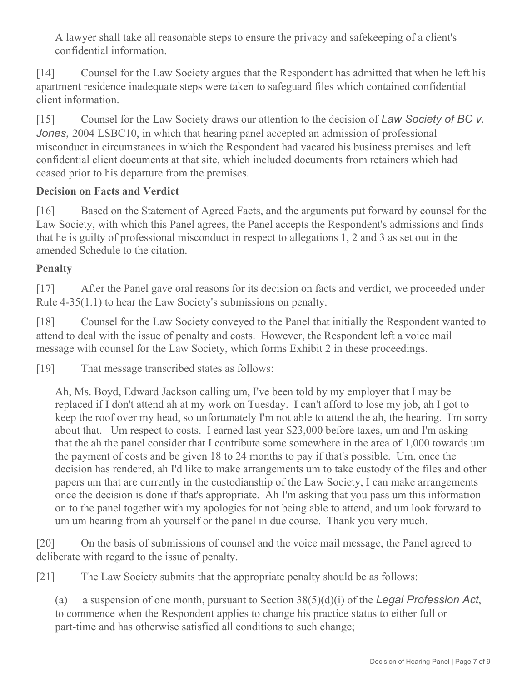A lawyer shall take all reasonable steps to ensure the privacy and safekeeping of a client's confidential information.

[14] Counsel for the Law Society argues that the Respondent has admitted that when he left his apartment residence inadequate steps were taken to safeguard files which contained confidential client information.

[15] Counsel for the Law Society draws our attention to the decision of *Law Society of BC v. Jones,* 2004 LSBC10, in which that hearing panel accepted an admission of professional misconduct in circumstances in which the Respondent had vacated his business premises and left confidential client documents at that site, which included documents from retainers which had ceased prior to his departure from the premises.

### **Decision on Facts and Verdict**

[16] Based on the Statement of Agreed Facts, and the arguments put forward by counsel for the Law Society, with which this Panel agrees, the Panel accepts the Respondent's admissions and finds that he is guilty of professional misconduct in respect to allegations 1, 2 and 3 as set out in the amended Schedule to the citation.

## **Penalty**

[17] After the Panel gave oral reasons for its decision on facts and verdict, we proceeded under Rule 4-35(1.1) to hear the Law Society's submissions on penalty.

[18] Counsel for the Law Society conveyed to the Panel that initially the Respondent wanted to attend to deal with the issue of penalty and costs. However, the Respondent left a voice mail message with counsel for the Law Society, which forms Exhibit 2 in these proceedings.

[19] That message transcribed states as follows:

Ah, Ms. Boyd, Edward Jackson calling um, I've been told by my employer that I may be replaced if I don't attend ah at my work on Tuesday. I can't afford to lose my job, ah I got to keep the roof over my head, so unfortunately I'm not able to attend the ah, the hearing. I'm sorry about that. Um respect to costs. I earned last year \$23,000 before taxes, um and I'm asking that the ah the panel consider that I contribute some somewhere in the area of 1,000 towards um the payment of costs and be given 18 to 24 months to pay if that's possible. Um, once the decision has rendered, ah I'd like to make arrangements um to take custody of the files and other papers um that are currently in the custodianship of the Law Society, I can make arrangements once the decision is done if that's appropriate. Ah I'm asking that you pass um this information on to the panel together with my apologies for not being able to attend, and um look forward to um um hearing from ah yourself or the panel in due course. Thank you very much.

[20] On the basis of submissions of counsel and the voice mail message, the Panel agreed to deliberate with regard to the issue of penalty.

[21] The Law Society submits that the appropriate penalty should be as follows:

(a) a suspension of one month, pursuant to Section 38(5)(d)(i) of the *Legal Profession Act*, to commence when the Respondent applies to change his practice status to either full or part-time and has otherwise satisfied all conditions to such change;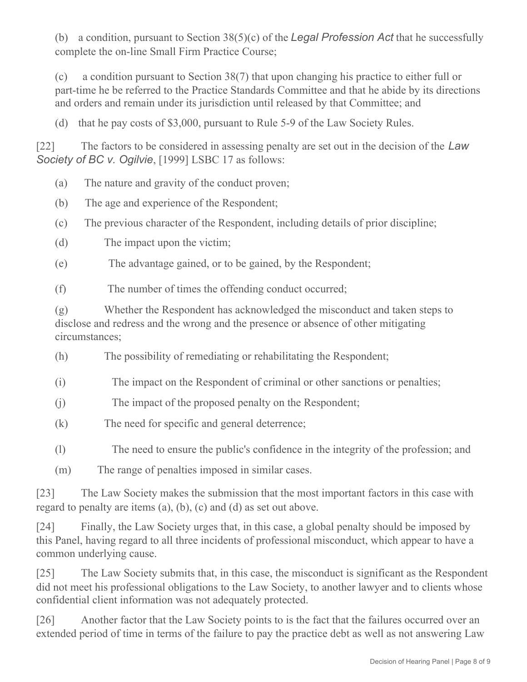(b) a condition, pursuant to Section 38(5)(c) of the *Legal Profession Act* that he successfully complete the on-line Small Firm Practice Course;

(c) a condition pursuant to Section 38(7) that upon changing his practice to either full or part-time he be referred to the Practice Standards Committee and that he abide by its directions and orders and remain under its jurisdiction until released by that Committee; and

(d) that he pay costs of \$3,000, pursuant to Rule 5-9 of the Law Society Rules.

[22] The factors to be considered in assessing penalty are set out in the decision of the *Law Society of BC v. Ogilvie*, [1999] LSBC 17 as follows:

- (a) The nature and gravity of the conduct proven;
- (b) The age and experience of the Respondent;
- (c) The previous character of the Respondent, including details of prior discipline;
- (d) The impact upon the victim;
- (e) The advantage gained, or to be gained, by the Respondent;

(f) The number of times the offending conduct occurred;

(g) Whether the Respondent has acknowledged the misconduct and taken steps to disclose and redress and the wrong and the presence or absence of other mitigating circumstances;

- (h) The possibility of remediating or rehabilitating the Respondent;
- (i) The impact on the Respondent of criminal or other sanctions or penalties;
- (i) The impact of the proposed penalty on the Respondent;
- (k) The need for specific and general deterrence;
- (l) The need to ensure the public's confidence in the integrity of the profession; and
- (m) The range of penalties imposed in similar cases.

[23] The Law Society makes the submission that the most important factors in this case with regard to penalty are items (a), (b), (c) and (d) as set out above.

[24] Finally, the Law Society urges that, in this case, a global penalty should be imposed by this Panel, having regard to all three incidents of professional misconduct, which appear to have a common underlying cause.

[25] The Law Society submits that, in this case, the misconduct is significant as the Respondent did not meet his professional obligations to the Law Society, to another lawyer and to clients whose confidential client information was not adequately protected.

[26] Another factor that the Law Society points to is the fact that the failures occurred over an extended period of time in terms of the failure to pay the practice debt as well as not answering Law